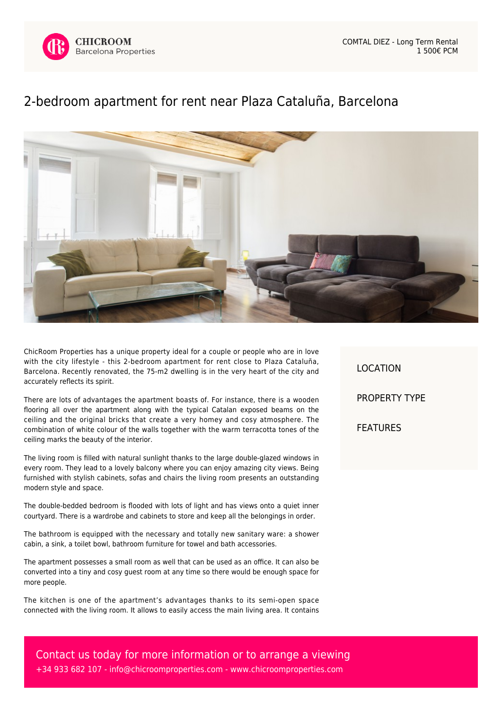

## [2-bedroom apartment for rent near Plaza Cataluña, Barcelona](https://www.chicroomproperties.com/en/property/792/2-bedroom-apartment-for-rent-near-plaza-cataluna-barcelona/)



ChicRoom Properties has a unique property ideal for a couple or people who are in love with the city lifestyle - this 2-bedroom apartment for rent close to Plaza Cataluña, Barcelona. Recently renovated, the 75-m2 dwelling is in the very heart of the city and accurately reflects its spirit.

There are lots of advantages the apartment boasts of. For instance, there is a wooden flooring all over the apartment along with the typical Catalan exposed beams on the ceiling and the original bricks that create a very homey and cosy atmosphere. The combination of white colour of the walls together with the warm terracotta tones of the ceiling marks the beauty of the interior.

The living room is filled with natural sunlight thanks to the large double-glazed windows in every room. They lead to a lovely balcony where you can enjoy amazing city views. Being furnished with stylish cabinets, sofas and chairs the living room presents an outstanding modern style and space.

The double-bedded bedroom is flooded with lots of light and has views onto a quiet inner courtyard. There is a wardrobe and cabinets to store and keep all the belongings in order.

The bathroom is equipped with the necessary and totally new sanitary ware: a shower cabin, a sink, a toilet bowl, bathroom furniture for towel and bath accessories.

The apartment possesses a small room as well that can be used as an office. It can also be converted into a tiny and cosy guest room at any time so there would be enough space for more people.

The kitchen is one of the apartment's advantages thanks to its semi-open space connected with the living room. It allows to easily access the main living area. It contains LOCATION PROPERTY TYPE FEATURES

Contact us today for more information or to arrange a viewing +34 933 682 107 - [info@chicroomproperties.com](mailto:info@chicroomproperties.com) - [www.chicroomproperties.com](http://www.chicroomproperties.com)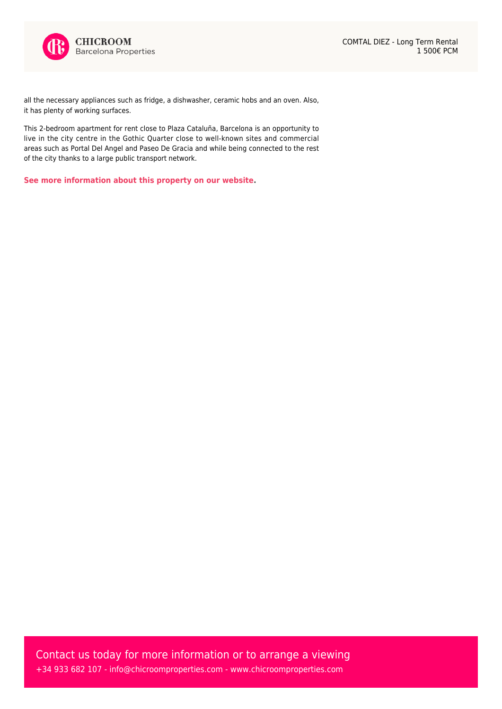

all the necessary appliances such as fridge, a dishwasher, ceramic hobs and an oven. Also, it has plenty of working surfaces.

This 2-bedroom apartment for rent close to Plaza Cataluña, Barcelona is an opportunity to live in the city centre in the Gothic Quarter close to well-known sites and commercial areas such as Portal Del Angel and Paseo De Gracia and while being connected to the rest of the city thanks to a large public transport network.

**[See more information about this property on our website.](https://www.chicroomproperties.com/en/property/792/2-bedroom-apartment-for-rent-near-plaza-cataluna-barcelona/)**